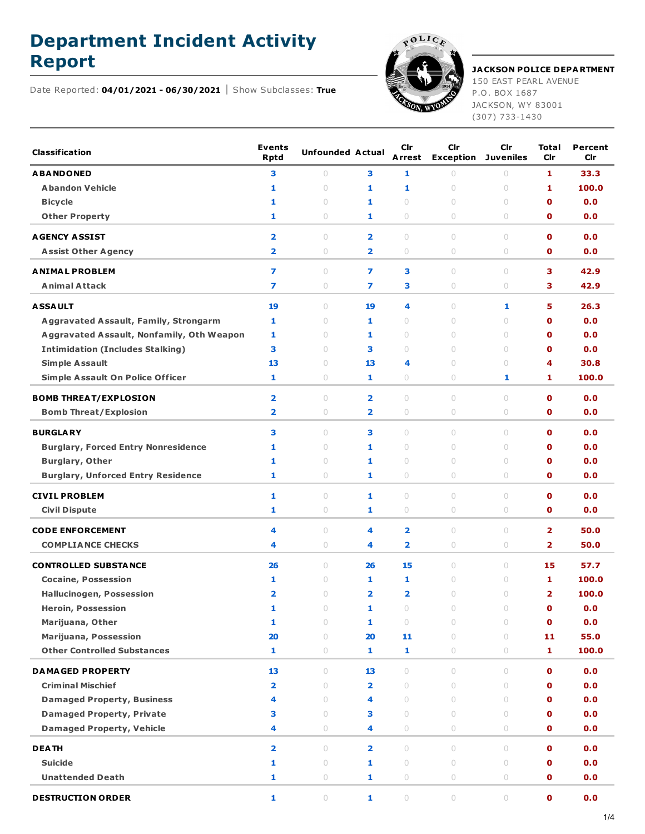## **Department Incident Activity**

Date Reported: **04/01/2021 - 06/30/2021** Show Subclasses: **True**



**Report JACKSON POLICE DEPARTMENT** 150 EAST PEARL AVENUE

P.O. BOX 1687 JACKSON, WY 83001 (307) 733-1430

| <b>Classification</b>                        | <b>Events</b><br><b>Rptd</b> | <b>Unfounded Actual</b> |                         | Cir<br>Arrest           | Cir<br><b>Exception</b>          | Cir<br><b>Juveniles</b>          | <b>Total</b><br>Cir     | Percent<br>Cir |
|----------------------------------------------|------------------------------|-------------------------|-------------------------|-------------------------|----------------------------------|----------------------------------|-------------------------|----------------|
| <b>ABANDONED</b>                             | з                            | $\circ$                 | 3                       | 1                       | $\circ$                          | 0                                | 1                       | 33.3           |
| <b>Abandon Vehicle</b>                       | 1                            | $\cup$                  | 1                       | 1                       | $\circ$                          | $\circ$                          | 1                       | 100.0          |
| <b>Bicycle</b>                               | 1                            | 0                       | 1                       | $\circ$                 | $\cup$                           | 0                                | 0                       | 0.0            |
| <b>Other Property</b>                        | 1                            | 0                       | 1                       | $\bigcirc$              | $\bigcirc$                       | 0                                | 0                       | 0.0            |
| <b>AGENCY ASSIST</b>                         | $\overline{\mathbf{2}}$      | $\circ$                 | $\overline{\mathbf{2}}$ | $\circ$                 | $\circ$                          | $\cup$                           | $\mathbf o$             | 0.0            |
| <b>Assist Other Agency</b>                   | $\overline{\mathbf{2}}$      | $\circ$                 | $\overline{\mathbf{2}}$ | 0                       | $\bigcirc$                       | 0                                | $\mathbf 0$             | 0.0            |
| <b>ANIMAL PROBLEM</b>                        | $\overline{ }$               | $\circ$                 | $\overline{ }$          | 3                       | $\circ$                          | $\circ$                          | з                       | 42.9           |
| <b>Animal Attack</b>                         | 7                            | 0                       | 7                       | 3                       | $\circ$                          | 0                                | 3                       | 42.9           |
| <b>ASSAULT</b>                               | 19                           | $\circ$                 | 19                      | 4                       | $\circ$                          | 1                                | 5                       | 26.3           |
| <b>Aggravated Assault, Family, Strongarm</b> | 1                            | $\circ$                 | 1                       | 0                       | $\circ$                          | $\cup$                           | $\mathbf o$             | 0.0            |
| Aggravated Assault, Nonfamily, Oth Weapon    | 1                            | $\circ$                 | 1                       | $\circ$                 | $\circ$                          | 0                                | 0                       | 0.0            |
| <b>Intimidation (Includes Stalking)</b>      | 3                            | $\circ$                 | 3                       | 0                       | $\begin{array}{c} \n\end{array}$ | $\cup$                           | 0                       | 0.0            |
| <b>Simple Assault</b>                        | 13                           | 0                       | 13                      | 4                       | $\cup$                           | $\cup$                           | 4                       | 30.8           |
| <b>Simple Assault On Police Officer</b>      | 1                            | 0                       | 1                       | 0                       | 0                                | 1                                | 1                       | 100.0          |
| <b>BOMB THREAT/EXPLOSION</b>                 | $\overline{\mathbf{2}}$      | $\circ$                 | $\overline{\mathbf{2}}$ | $\bigcirc$              | $\circ$                          | $\circ$                          | $\mathbf o$             | 0.0            |
| <b>Bomb Threat/Explosion</b>                 | $\overline{\mathbf{2}}$      | $\circ$                 | $\overline{\mathbf{2}}$ | 0                       | $\circ$                          | 0                                | O                       | 0.0            |
|                                              |                              |                         |                         |                         |                                  |                                  |                         |                |
| <b>BURGLARY</b>                              | 3                            | $\circ$                 | 3                       | $\circ$                 | $\circ$                          | $\cup$                           | $\mathbf o$             | 0.0            |
| <b>Burglary, Forced Entry Nonresidence</b>   | 1                            | $\circ$                 | 1                       | $\circ$                 | $\circ$                          | $\cup$                           | $\mathbf o$             | 0.0            |
| <b>Burglary, Other</b>                       | 1                            | $\circ$                 | 1                       | $\bigcirc$              | $\cup$                           | 0                                | $\mathbf o$             | 0.0            |
| <b>Burglary, Unforced Entry Residence</b>    | 1                            | 0                       | 1                       | 0                       | $\circ$                          | 0                                | O                       | 0.0            |
| <b>CIVIL PROBLEM</b>                         | 1                            | $\circ$                 | 1                       | $\circ$                 | $\circ$                          | $\cup$                           | $\mathbf o$             | 0.0            |
| <b>Civil Dispute</b>                         | 1                            | $\circ$                 | 1                       | 0                       | $\circ$                          | 0                                | $\mathbf 0$             | 0.0            |
| <b>CODE ENFORCEMENT</b>                      | 4                            | $\circ$                 | 4                       | $\overline{2}$          | $\circ$                          | 0                                | $\overline{2}$          | 50.0           |
| <b>COMPLIANCE CHECKS</b>                     | 4                            | 0                       | 4                       | $\overline{\mathbf{2}}$ | $\bigcirc$                       | 0                                | $\overline{\mathbf{2}}$ | 50.0           |
| <b>CONTROLLED SUBSTANCE</b>                  | 26                           | 0                       | 26                      | 15                      | $\circ$                          | $\cup$                           | 15                      | 57.7           |
| <b>Cocaine, Possession</b>                   | 1                            | $\circ$                 | 1                       | 1                       | $\circ$                          | $\circ$                          | 1                       | 100.0          |
| <b>Hallucinogen, Possession</b>              | $\overline{\mathbf{2}}$      | 0                       | 2                       | $\overline{\mathbf{2}}$ | $\cup$                           | 0                                | 2                       | 100.0          |
| <b>Heroin, Possession</b>                    | 1                            | $\cup$                  | 1                       | $\cup$                  | $\cup$                           | $\cup$                           | $\mathbf 0$             | 0.0            |
| Marijuana, Other                             | 1                            | $\circ$                 | 1                       | $\circ$                 | $\circ$                          | $\cup$                           | $\mathbf 0$             | 0.0            |
| <b>Marijuana, Possession</b>                 | 20                           | $\circ$                 | 20                      | 11                      | $\circ$                          | $\circ$                          | 11                      | 55.0           |
| <b>Other Controlled Substances</b>           | $\mathbf{1}$                 | $\circlearrowright$     | $\mathbf{1}$            | $\mathbf{1}$            | $\circlearrowright$              | $\circ$                          | 1                       | 100.0          |
| <b>DAMAGED PROPERTY</b>                      | 13                           | $\circ$                 | 13                      | $\circ$                 | $\circ$                          | $\begin{array}{c} \n\end{array}$ | $\mathbf 0$             | 0.0            |
| <b>Criminal Mischief</b>                     | $\overline{\mathbf{2}}$      | $\circ$                 | $\overline{2}$          | $\circ$                 | $\circ$                          | $\cup$                           | $\mathbf 0$             | 0.0            |
| <b>Damaged Property, Business</b>            | 4                            | $\circ$                 | 4                       | $\circ$                 | $\circ$                          | $\cup$                           | $\mathbf 0$             | 0.0            |
| <b>Damaged Property, Private</b>             | з                            | $\bigcirc$              | 3                       | $\bigcirc$              | $\circ$                          | $\circ$                          | 0                       | 0.0            |
| <b>Damaged Property, Vehicle</b>             | 4                            | 0                       | 4                       | $\circlearrowright$     | $\circlearrowright$              | $\circ$                          | 0                       | 0.0            |
| <b>DEATH</b>                                 | $\overline{\mathbf{2}}$      | $\circ$                 | $\overline{2}$          | $\circ$                 | $\circ$                          | $\cup$                           | $\mathbf o$             | 0.0            |
| <b>Suicide</b>                               | 1                            | $\circ$                 | 1                       | $\bigcirc$              | $\circ$                          | $\circ$                          | $\mathbf 0$             | 0.0            |
| <b>Unattended Death</b>                      | $\mathbf{1}$                 | $\circ$                 | $\mathbf{1}$            | $\bigcirc$              | $\bigcirc$                       | $\circ$                          | $\mathbf 0$             | 0.0            |
| <b>DESTRUCTION ORDER</b>                     | 1                            | $\circ$                 | 1                       | $\circ$                 | $\circlearrowright$              | $\circlearrowright$              | 0                       | 0.0            |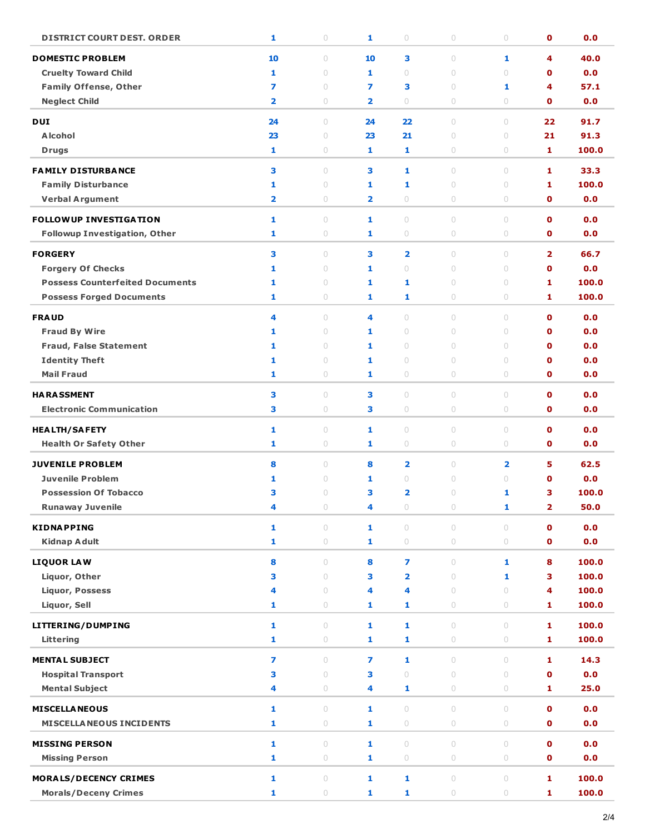| <b>DISTRICT COURT DEST. ORDER</b>                                  | 1                       | $\bigcirc$          | 1                       | 0                       | 0                  | 0                                           | $\mathbf 0$                | 0.0          |
|--------------------------------------------------------------------|-------------------------|---------------------|-------------------------|-------------------------|--------------------|---------------------------------------------|----------------------------|--------------|
| <b>DOMESTIC PROBLEM</b>                                            | 10                      | $\circ$             | 10                      | 3                       | $\circ$            | 1                                           | 4                          | 40.0         |
| <b>Cruelty Toward Child</b>                                        | 1                       | $\circ$             | 1                       | $\circ$                 | $\circ$            | $\cup$                                      | O                          | 0.0          |
| <b>Family Offense, Other</b>                                       | 7                       | $\circ$             | 7                       | З                       | $\circ$            | 1                                           | 4                          | 57.1         |
| <b>Neglect Child</b>                                               | $\overline{\mathbf{2}}$ | $\circ$             | $\overline{\mathbf{2}}$ | $\bigcirc$              | $\circ$            | $\circ$                                     | $\mathbf o$                | 0.0          |
|                                                                    |                         |                     |                         |                         |                    |                                             |                            |              |
| <b>DUI</b><br><b>Alcohol</b>                                       | 24<br>23                | $\circ$<br>$\circ$  | 24                      | 22<br>21                | $\circ$<br>$\circ$ | $\circ$<br>$\circ$                          | 22<br>21                   | 91.7<br>91.3 |
|                                                                    | 1                       | $\circ$             | 23<br>1                 |                         |                    | $\circ$                                     | 1                          | 100.0        |
| <b>Drugs</b>                                                       |                         |                     |                         | 1                       | 0                  |                                             |                            |              |
| <b>FAMILY DISTURBANCE</b>                                          | 3                       | $\circ$             | 3                       | 1                       | $\circ$            | $\circ$                                     | 1                          | 33.3         |
| <b>Family Disturbance</b>                                          | 1                       | $\circ$             | 1                       | 1                       | 0                  | $\circ$                                     | 1                          | 100.0        |
| <b>Verbal Argument</b>                                             | $\overline{\mathbf{2}}$ | $\bigcirc$          | 2                       | $\circ$                 | $\circ$            | 0                                           | O                          | 0.0          |
| <b>FOLLOWUP INVESTIGATION</b>                                      | 1                       | $\circ$             | 1                       | $\circ$                 | $\circ$            | $\circ$                                     | $\mathbf 0$                | 0.0          |
| <b>Followup Investigation, Other</b>                               | 1                       | $\bigcirc$          | 1                       | $\bigcirc$              | $\bigcirc$         | 0                                           | $\mathbf 0$                | 0.0          |
| <b>FORGERY</b>                                                     |                         |                     |                         |                         |                    |                                             |                            |              |
|                                                                    | 3                       | $\circ$             | з                       | $\overline{\mathbf{2}}$ | 0                  | $\circ$<br>$\begin{array}{c} \n\end{array}$ | 2                          | 66.7         |
| <b>Forgery Of Checks</b><br><b>Possess Counterfeited Documents</b> | 1<br>1                  | $\circ$<br>$\circ$  | 1<br>1                  | $\circ$                 | $\circ$<br>0       | $\circ$                                     | $\mathbf o$<br>1           | 0.0<br>100.0 |
| <b>Possess Forged Documents</b>                                    | 1                       | $\bigcirc$          | 1                       | 1<br>1                  | $\bigcirc$         | 0                                           | 1                          | 100.0        |
|                                                                    |                         |                     |                         |                         |                    |                                             |                            |              |
| <b>FRAUD</b>                                                       | 4                       | $\circ$             | 4                       | $\circ$                 | 0                  | $\circ$                                     | $\mathbf 0$                | 0.0          |
| <b>Fraud By Wire</b>                                               | 1                       | $\bigcirc$          | 1                       | $\circ$                 | $\circ$            | $\circ$                                     | $\mathbf o$                | 0.0          |
| <b>Fraud, False Statement</b>                                      | 1                       | $\circ$             | 1                       | 0                       | 0                  | $\circ$                                     | $\mathbf o$                | 0.0          |
| <b>Identity Theft</b>                                              | 1                       | $\circ$             | 1                       | $\bigcirc$              | 0                  | $\circ$                                     | 0                          | 0.0          |
| <b>Mail Fraud</b>                                                  | 1                       | 0                   | 1                       | $\bigcirc$              | 0                  | $\circ$                                     | $\mathbf 0$                | 0.0          |
| <b>HARASSMENT</b>                                                  | з                       | $\circ$             | З                       | $\circ$                 | $\circ$            | $\circ$                                     | $\mathbf 0$                | 0.0          |
| <b>Electronic Communication</b>                                    | 3                       | $\bigcirc$          | 3                       | 0                       | 0                  | $\circ$                                     | $\mathbf 0$                | 0.0          |
| <b>HEALTH/SAFETY</b>                                               | 1                       | $\circ$             | 1                       | $\bigcirc$              | $\bigcirc$         | $\circ$                                     | $\mathbf 0$                | 0.0          |
| <b>Health Or Safety Other</b>                                      | 1                       | 0                   | 1                       | 0                       | 0                  | $\circ$                                     | $\mathbf 0$                | 0.0          |
|                                                                    |                         |                     |                         |                         |                    |                                             |                            |              |
| <b>JUVENILE PROBLEM</b>                                            | 8                       | $\circ$             | 8                       | 2                       | $\circ$            | $\overline{\mathbf{2}}$                     | 5                          | 62.5         |
| <b>Juvenile Problem</b>                                            | 1                       | $\circ$             | 1                       | 0                       | 0                  | $\cup$                                      | $\mathbf o$                | 0.0          |
| <b>Possession Of Tobacco</b>                                       | з                       | $\circ$             | з                       | 2                       | $\circ$            | 1                                           | з                          | 100.0        |
| <b>Runaway Juvenile</b>                                            | 4                       | U                   | 4                       | U                       | U                  | 1                                           | 2                          | 50.0         |
| <b>KIDNAPPING</b>                                                  | 1                       | $\circ$             | 1                       | $\circ$                 | $\circ$            | $\cup$                                      | $\mathbf{0}$               | 0.0          |
| <b>Kidnap Adult</b>                                                | 1                       | $\bigcirc$          | 1                       | $\circ$                 | $\circ$            | $\circ$                                     | $\mathbf 0$                | 0.0          |
| <b>LIQUOR LAW</b>                                                  | 8                       | $\circ$             | 8                       | $\overline{ }$          | $\circ$            | $\mathbf{1}$                                | 8                          | 100.0        |
| Liquor, Other                                                      | 3                       | $\circ$             | 3                       | 2                       | $\circ$            | 1                                           | з                          | 100.0        |
| <b>Liquor, Possess</b>                                             | 4                       | $\circ$             | 4                       | 4                       | $\circ$            | $\cup$                                      | 4                          | 100.0        |
| Liquor, Sell                                                       | 1                       | $\bigcirc$          | 1                       | 1                       | $\circ$            | $\circ$                                     | 1                          | 100.0        |
|                                                                    |                         |                     |                         |                         |                    |                                             |                            | 100.0        |
| LITTERING/DUMPING                                                  | 1                       | $\circ$             | $\mathbf{1}$            | $\mathbf{1}$            | $\bigcirc$         | $\circ$                                     | 1                          |              |
| Littering                                                          | 1                       | $\bigcirc$          | 1                       | 1                       | $\circ$            | $\circ$                                     | 1                          | 100.0        |
| <b>MENTAL SUBJECT</b>                                              | $\overline{ }$          | $\bigcirc$          | $\overline{ }$          | 1                       | $\circ$            | $\begin{array}{c} \n\end{array}$            | 1                          | 14.3         |
| <b>Hospital Transport</b>                                          | з                       | $\circ$             | 3                       | $\circ$                 | $\circ$            | $\circ$                                     | $\mathbf 0$                | 0.0          |
| <b>Mental Subject</b>                                              | 4                       | $\circlearrowright$ | 4                       | 1                       | $\circ$            | $\circlearrowright$                         | 1                          | 25.0         |
| <b>MISCELLA NEOUS</b>                                              | 1                       | $\circ$             | 1                       | $\bigcirc$              | $\circ$            | $\circlearrowright$                         | $\mathbf 0$                | 0.0          |
| <b>MISCELLA NEOUS INCIDENTS</b>                                    | 1                       | $\bigcirc$          | 1                       | $\bigcirc$              | $\bigcirc$         | $\circlearrowright$                         | $\mathbf 0$                | 0.0          |
|                                                                    |                         |                     |                         |                         |                    |                                             |                            |              |
| <b>MISSING PERSON</b>                                              | 1<br>$\mathbf{1}$       | $\circ$             | 1<br>1                  | $\circ$                 | $\circ$            | $\circ$                                     | $\mathbf 0$<br>$\mathbf 0$ | 0.0          |
| <b>Missing Person</b>                                              |                         | $\bigcirc$          |                         | $\bigcirc$              | $\bigcirc$         | $\circlearrowright$                         |                            | 0.0          |
| <b>MORALS/DECENCY CRIMES</b>                                       | 1                       | $\circ$             | 1                       | 1                       | $\circ$            | $\circ$                                     | 1                          | 100.0        |
| <b>Morals/Deceny Crimes</b>                                        | 1                       | $\bigcirc$          | 1                       | 1                       | $\bigcirc$         | $\circ$                                     | 1                          | 100.0        |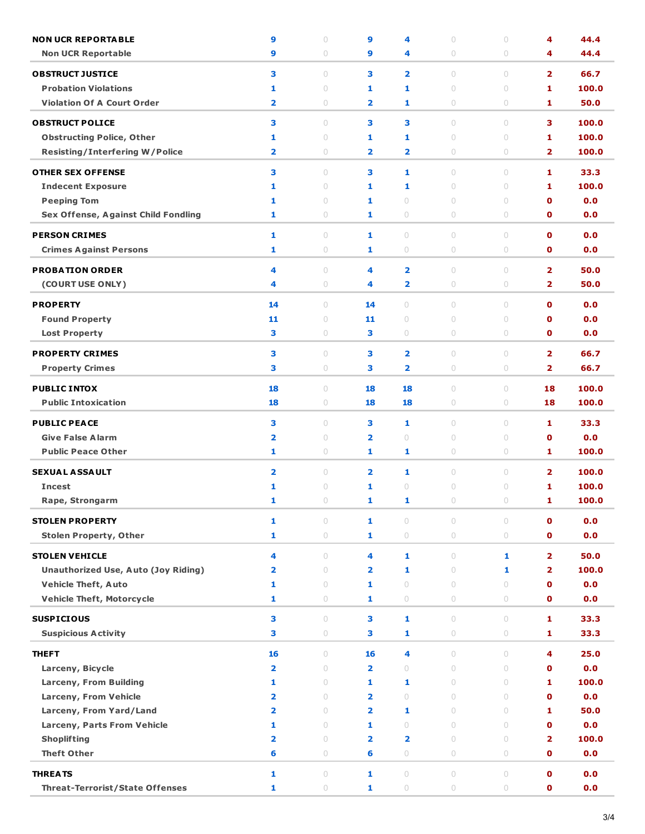| <b>NON UCR REPORTABLE</b>                        | 9                            | $\cup$                           | 9                            | 4                       | $\cup$              | $\circ$             | 4                       | 44.4         |
|--------------------------------------------------|------------------------------|----------------------------------|------------------------------|-------------------------|---------------------|---------------------|-------------------------|--------------|
| <b>Non UCR Reportable</b>                        | 9                            | $\circ$                          | 9                            | 4                       | $\circ$             | $\circ$             | 4                       | 44.4         |
| <b>OBSTRUCT JUSTICE</b>                          | 3                            | $\circ$                          | З                            | $\overline{\mathbf{2}}$ | $\circlearrowright$ | $\circ$             | $\overline{\mathbf{2}}$ | 66.7         |
| <b>Probation Violations</b>                      | 1                            | $\circ$                          | 1                            | 1                       | $\circ$             | $\circ$             | 1                       | 100.0        |
| <b>Violation Of A Court Order</b>                | $\overline{\mathbf{2}}$      | $\circ$                          | 2                            | 1                       | 0                   | $\circ$             | 1                       | 50.0         |
|                                                  |                              |                                  |                              |                         |                     |                     |                         |              |
| <b>OBSTRUCT POLICE</b>                           | 3                            | $\cup$                           | з                            | 3                       | $\circ$             | $\circ$             | з                       | 100.0        |
| <b>Obstructing Police, Other</b>                 | 1                            | $\circ$                          | 1                            | 1                       | $\circ$             | $\circ$             | 1                       | 100.0        |
| <b>Resisting/Interfering W/Police</b>            | $\overline{\mathbf{2}}$      | 0                                | $\overline{\mathbf{2}}$      | 2                       | $\circ$             | $\circ$             | $\overline{\mathbf{2}}$ | 100.0        |
| <b>OTHER SEX OFFENSE</b>                         | 3                            | $\cup$                           | З                            | 1                       | $\circ$             | $\circ$             | 1                       | 33.3         |
| <b>Indecent Exposure</b>                         | 1                            | $\circ$                          | 1                            | 1                       | $\circ$             | $\circ$             | 1                       | 100.0        |
| <b>Peeping Tom</b>                               | 1                            | $\circ$                          | 1                            | $\circlearrowright$     | $\circ$             | $\circ$             | $\mathbf o$             | 0.0          |
| Sex Offense, Against Child Fondling              | 1                            | 0                                | 1                            | 0                       | $\circ$             | $\circ$             | 0                       | 0.0          |
| <b>PERSON CRIMES</b>                             | 1                            | $\begin{array}{c} \n\end{array}$ | 1                            | $\circ$                 | $\circ$             | $\circ$             | $\mathbf o$             | 0.0          |
| <b>Crimes Against Persons</b>                    | 1                            | $\circ$                          | 1                            | 0                       | 0                   | $\circ$             | $\mathbf 0$             | 0.0          |
|                                                  |                              |                                  |                              |                         |                     |                     |                         |              |
| <b>PROBATION ORDER</b>                           | 4                            | $\circ$                          | 4                            | 2                       | $\circlearrowright$ | $\circ$             | $\overline{\mathbf{2}}$ | 50.0         |
| (COURT USE ONLY)                                 | 4                            | $\circ$                          | 4                            | 2                       | $\circ$             | $\circ$             | $\overline{\mathbf{2}}$ | 50.0         |
| <b>PROPERTY</b>                                  | 14                           | $\begin{array}{c} \n\end{array}$ | 14                           | $\circ$                 | $\circ$             | $\bigcirc$          | $\mathbf o$             | 0.0          |
| <b>Found Property</b>                            | 11                           | $\circ$                          | 11                           | $\circ$                 | $\circ$             | $\circ$             | $\mathbf o$             | 0.0          |
| <b>Lost Property</b>                             | 3                            | $\bigcirc$                       | з                            | $\circlearrowright$     | $\circlearrowright$ | $\circ$             | $\mathbf o$             | 0.0          |
| <b>PROPERTY CRIMES</b>                           | 3                            | $\circ$                          | з                            | 2                       | $\circlearrowright$ | $\circ$             | $\overline{\mathbf{2}}$ | 66.7         |
| <b>Property Crimes</b>                           | 3                            | $\circ$                          | З                            | 2                       | 0                   | $\circ$             | $\overline{\mathbf{2}}$ | 66.7         |
|                                                  |                              |                                  |                              |                         |                     |                     |                         |              |
| <b>PUBLIC INTOX</b>                              | 18                           | $\circ$                          | 18                           | 18                      | $\circ$             | $\circ$             | 18                      | 100.0        |
| <b>Public Intoxication</b>                       | 18                           | $\circ$                          | 18                           | 18                      | 0                   | $\circ$             | 18                      | 100.0        |
| <b>PUBLIC PEACE</b>                              | 3                            | $\circ$                          | з                            | 1                       | $\circ$             | $\circ$             | 1                       | 33.3         |
| <b>Give False Alarm</b>                          | $\overline{\mathbf{2}}$      | $\circ$                          | 2                            | $\circ$                 | $\circ$             | $\circ$             | $\mathbf o$             | 0.0          |
| <b>Public Peace Other</b>                        | 1                            | $\circ$                          | 1                            | 1                       | $\circ$             | $\circ$             | 1                       | 100.0        |
| <b>SEXUAL ASSAULT</b>                            | $\overline{\mathbf{2}}$      | $\circ$                          | 2                            | 1                       | $\circlearrowright$ | $\circ$             | $\overline{2}$          | 100.0        |
| <b>Incest</b>                                    | 1                            | $\circ$                          | 1                            | $\circ$                 | $\circ$             | $\circ$             | 1                       | 100.0        |
| Rape, Strongarm                                  | 1                            | 0                                | 1                            | 1                       | 0                   | 0                   | 1                       | 100.0        |
|                                                  |                              |                                  |                              |                         |                     |                     |                         |              |
| <b>STOLEN PROPERTY</b>                           | 1                            | $\circ$                          | 1                            | $\circlearrowright$     | $\bigcirc$          | $\circ$             | O                       | 0.0          |
| <b>Stolen Property, Other</b>                    | $\mathbf{1}$                 | $\bigcirc$                       | $\mathbf{1}$                 | $\bigcirc$              | $\bigcirc$          | $\circ$             | $\mathbf{o}$            | 0.0          |
| <b>STOLEN VEHICLE</b>                            | 4                            | $\circ$                          | 4                            | 1                       | $\circlearrowright$ | 1                   | $\overline{\mathbf{2}}$ | 50.0         |
| <b>Unauthorized Use, Auto (Joy Riding)</b>       | $\overline{\mathbf{2}}$      | $\circ$                          | $\overline{\mathbf{2}}$      | 1                       | $\bigcirc$          | 1                   | $\overline{\mathbf{2}}$ | 100.0        |
| <b>Vehicle Theft, Auto</b>                       | 1                            | $\circ$                          | $\mathbf{1}$                 | $\circlearrowright$     | $\circ$             | $\circ$             | O                       | 0.0          |
| <b>Vehicle Theft, Motorcycle</b>                 | 1                            | $\bigcirc$                       | 1                            | $\bigcirc$              | $\circlearrowright$ | $\circ$             | O                       | 0.0          |
| <b>SUSPICIOUS</b>                                | 3                            | $\circ$                          | 3                            | 1                       | $\circlearrowright$ | $\circlearrowright$ | 1                       | 33.3         |
| <b>Suspicious Activity</b>                       | 3                            | $\bigcirc$                       | з                            | 1                       | $\circlearrowright$ | $\bigcirc$          | 1                       | 33.3         |
|                                                  |                              |                                  |                              |                         |                     |                     |                         |              |
| <b>THEFT</b>                                     | 16                           | $\circ$                          | 16                           | 4                       | $\circ$             | $\circ$             | 4                       | 25.0         |
| Larceny, Bicycle                                 | $\overline{\mathbf{2}}$      | $\bigcirc$                       | $\overline{\mathbf{2}}$      | $\circlearrowright$     | 0                   | $\circ$             | $\mathbf o$             | 0.0          |
| Larceny, From Building                           | 1<br>$\overline{\mathbf{2}}$ | $\bigcirc$<br>$\circ$            | 1<br>$\overline{\mathbf{2}}$ | 1<br>$\circ$            | $\circ$<br>$\circ$  | $\circ$<br>$\cup$   | 1<br>$\mathbf o$        | 100.0<br>0.0 |
| Larceny, From Vehicle<br>Larceny, From Yard/Land | $\overline{\mathbf{2}}$      | $\circ$                          | $\overline{\mathbf{2}}$      | 1                       | $\circ$             | $\circ$             | 1                       | 50.0         |
| <b>Larceny, Parts From Vehicle</b>               | 1                            | $\circ$                          | $\mathbf{1}$                 | $\circlearrowright$     | $\circlearrowright$ | $\circ$             | $\mathbf o$             | 0.0          |
| <b>Shoplifting</b>                               | $\overline{\mathbf{2}}$      | $\circ$                          | 2                            | 2                       | $\circlearrowright$ | $\circ$             | $\overline{\mathbf{2}}$ | 100.0        |
| <b>Theft Other</b>                               | 6                            | 0                                | 6                            | $\circlearrowright$     | $\circlearrowright$ | 0                   | 0                       | 0.0          |
|                                                  |                              |                                  |                              |                         |                     |                     |                         |              |
| <b>THREATS</b>                                   | 1                            | $\bigcirc$                       | 1                            | $\circlearrowright$     | $\circlearrowright$ | $\circlearrowright$ | $\mathbf 0$             | 0.0          |
| <b>Threat-Terrorist/State Offenses</b>           | 1                            | $\bigcirc$                       | 1                            | $\bigcirc$              | $\bigcirc$          | $\circ$             | $\mathbf o$             | 0.0          |